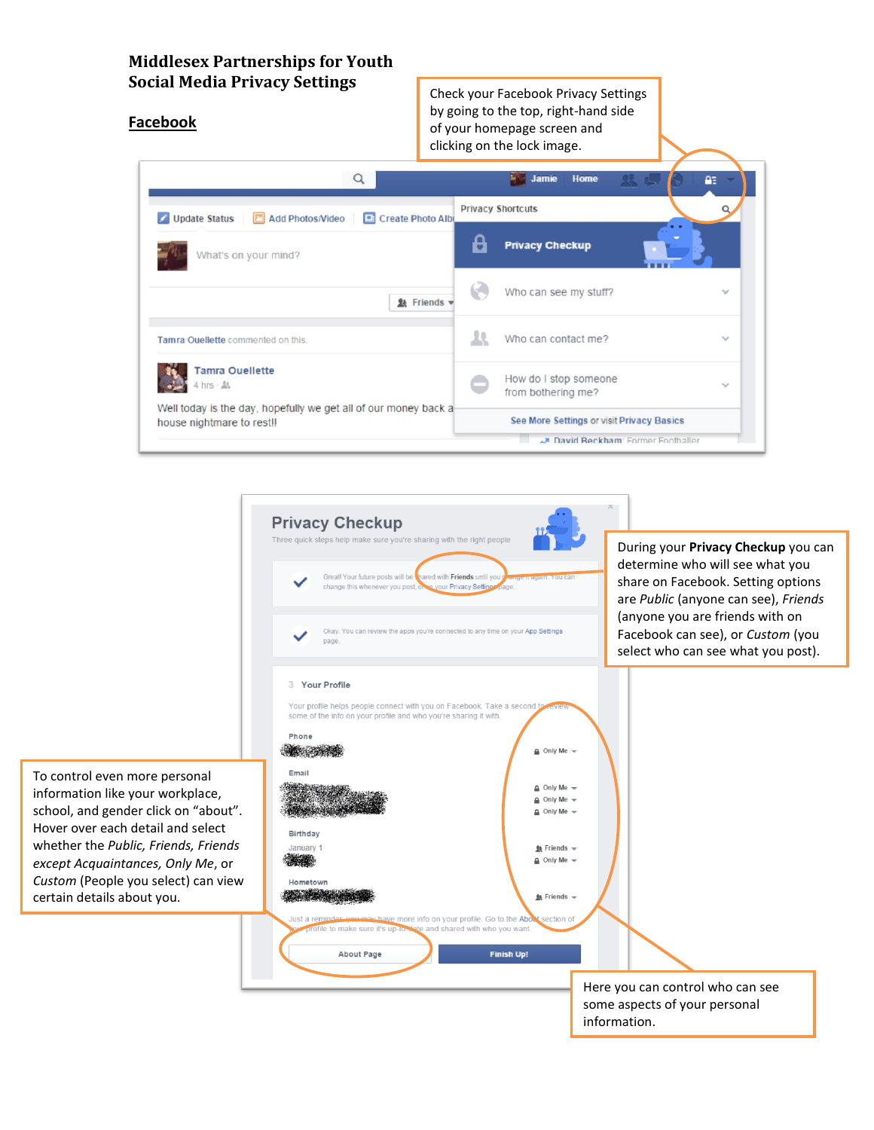# **Middlesex Partnerships for Youth Social Media Privacy Settings**

#### **Facebook**

Check your Facebook Privacy Settings by going to the top, right-hand side of your homepage screen and clicking on the lock image.

| Q                                                                                            | Home<br>Jamie                                                                          | ΩE           |  |  |
|----------------------------------------------------------------------------------------------|----------------------------------------------------------------------------------------|--------------|--|--|
| <b>Update Status</b><br>Add Photos/Video<br>Create Photo Albu                                | <b>Privacy Shortcuts</b>                                                               |              |  |  |
| What's on your mind?                                                                         | <b>Privacy Checkup</b>                                                                 |              |  |  |
| <b>缺 Friends ▼</b>                                                                           | Who can see my stuff?                                                                  | $\checkmark$ |  |  |
| Tamra Ouellette commented on this.                                                           | Who can contact me?                                                                    | $\checkmark$ |  |  |
| Tamra Ouellette<br>$4$ hrs $ \Delta$                                                         | How do I stop someone<br>from bothering me?                                            | $\checkmark$ |  |  |
| Well today is the day, hopefully we get all of our money back a<br>house nightmare to rest!! | See More Settings or visit Privacy Basics<br><b>A David Reckham: Enrmer Footballer</b> |              |  |  |



To control even more personal information like your workplace, school, and gender click on "about". Hover over each detail and select whether the *Public, Friends, Friends except Acquaintances, Only Me*, or *Custom* (People you select) can view certain details about you.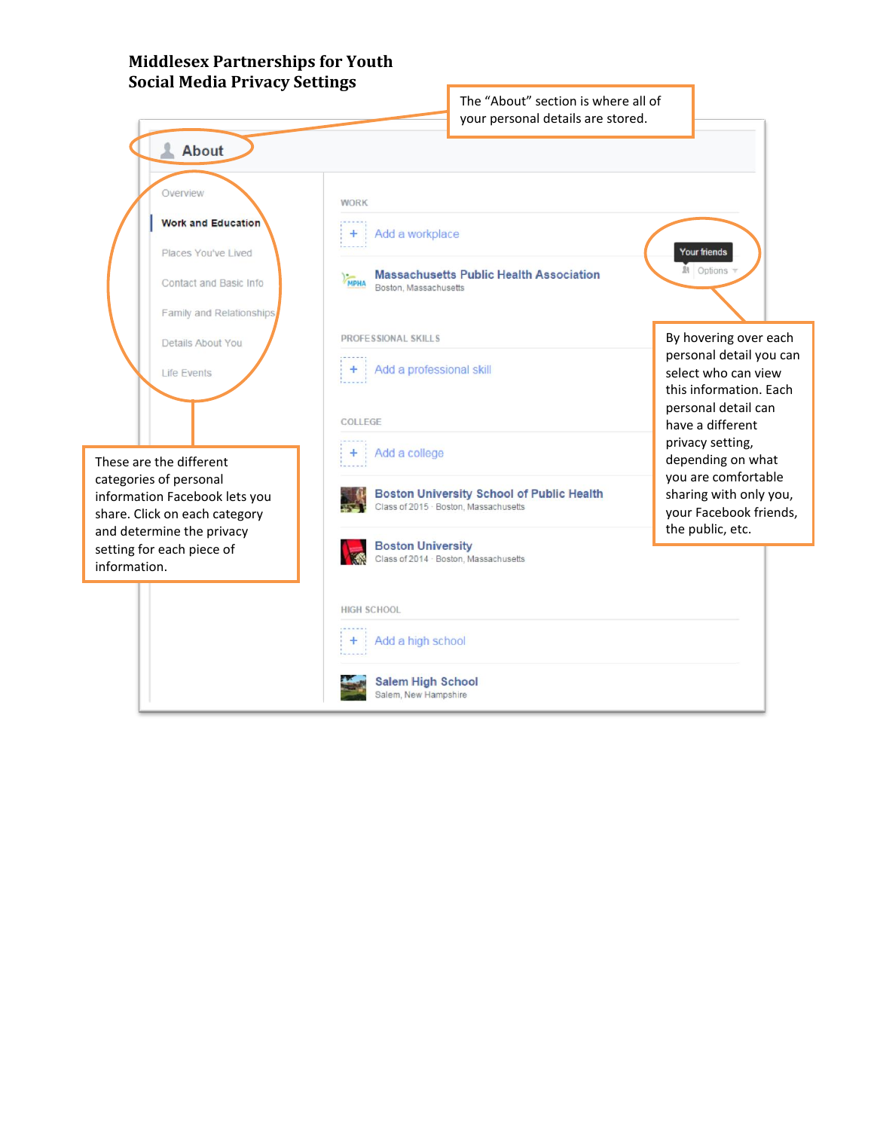## **Middlesex Partnerships for Youth Social Media Privacy Settings**

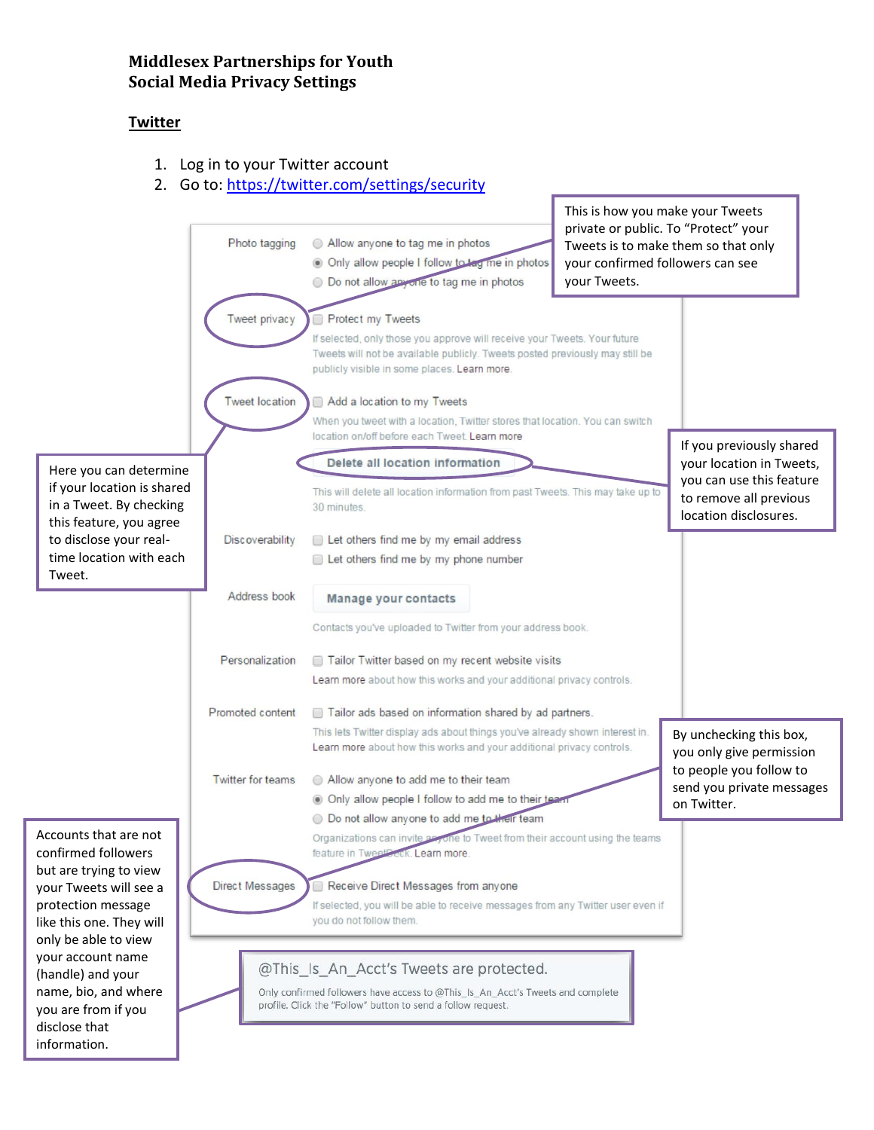# **Middlesex Partnerships for Youth Social Media Privacy Settings**

#### **Twitter**

- 1. Log in to your Twitter account
- 2. Go to:<https://twitter.com/settings/security>